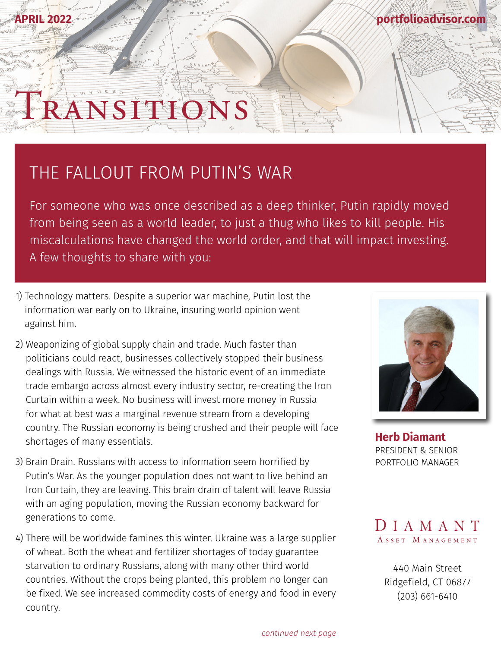## **[portfolioadvisor.com](http://portfolioadvisor.com)**

## THE FALLOUT FROM PUTIN'S WAR

RANSITIE

For someone who was once described as a deep thinker, Putin rapidly moved from being seen as a world leader, to just a thug who likes to kill people. His miscalculations have changed the world order, and that will impact investing. A few thoughts to share with you:

- 1) Technology matters. Despite a superior war machine, Putin lost the information war early on to Ukraine, insuring world opinion went against him.
- 2) Weaponizing of global supply chain and trade. Much faster than politicians could react, businesses collectively stopped their business dealings with Russia. We witnessed the historic event of an immediate trade embargo across almost every industry sector, re-creating the Iron Curtain within a week. No business will invest more money in Russia for what at best was a marginal revenue stream from a developing country. The Russian economy is being crushed and their people will face shortages of many essentials.
- 3) Brain Drain. Russians with access to information seem horrified by Putin's War. As the younger population does not want to live behind an Iron Curtain, they are leaving. This brain drain of talent will leave Russia with an aging population, moving the Russian economy backward for generations to come.
- 4) There will be worldwide famines this winter. Ukraine was a large supplier of wheat. Both the wheat and fertilizer shortages of today guarantee starvation to ordinary Russians, along with many other third world countries. Without the crops being planted, this problem no longer can be fixed. We see increased commodity costs of energy and food in every country.



**[Herb Diamant](http://portfolioadvisor.com/team)** PRESIDENT & SENIOR PORTFOLIO MANAGER



[440 Main Street](http://www.portfolioadvisor.com) Ridgefield, CT 06877 (203) 661-6410